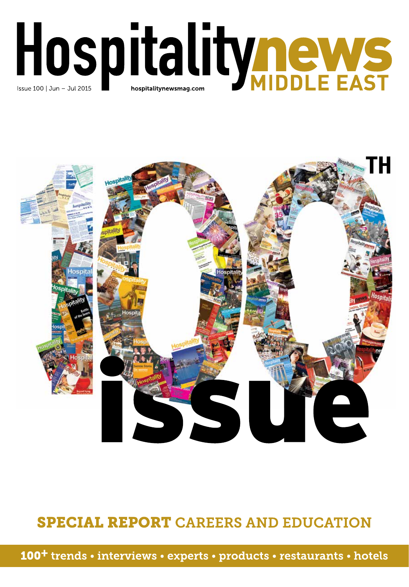



## **SPECIAL REPORT CAREERS AND EDUCATION**

**100<sup>+</sup>** trends • interviews • experts • products • restaurants • hotels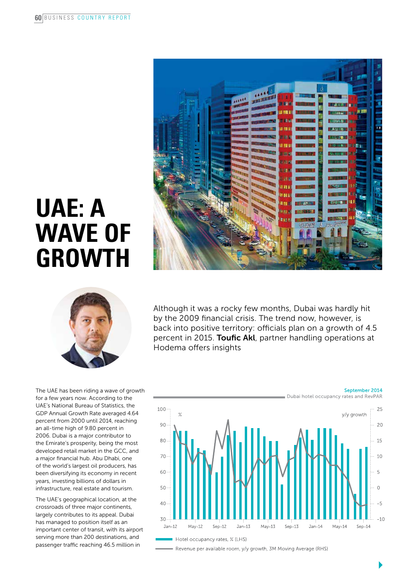

# **UAE: a wave of growth**



Although it was a rocky few months, Dubai was hardly hit by the 2009 financial crisis. The trend now, however, is back into positive territory: officials plan on a growth of 4.5 percent in 2015. Toufic Akl, partner handling operations at Hodema offers insights

The UAE has been riding a wave of growth for a few years now. According to the UAE's National Bureau of Statistics, the GDP Annual Growth Rate averaged 4.64 percent from 2000 until 2014, reaching an all-time high of 9.80 percent in 2006. Dubai is a major contributor to the Emirate's prosperity, being the most developed retail market in the GCC, and a major financial hub. Abu Dhabi, one of the world's largest oil producers, has been diversifying its economy in recent years, investing billions of dollars in infrastructure, real estate and tourism.

The UAE's geographical location, at the crossroads of three major continents, largely contributes to its appeal. Dubai has managed to position itself as an important center of transit, with its airport serving more than 200 destinations, and passenger traffic reaching 46.5 million in



- Revenue per available room, y/y growth, 3M Moving Average (RHS)